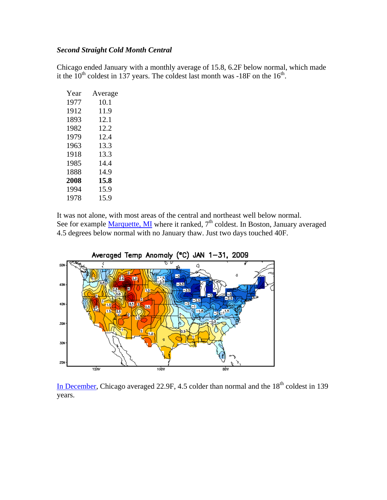## *Second Straight Cold Month Central*

Chicago ended January with a monthly average of 15.8, 6.2F below normal, which made it the  $10^{th}$  coldest in 137 years. The coldest last month was -18F on the  $16^{th}$ .

| Year | Average |
|------|---------|
| 1977 | 10.1    |
| 1912 | 11.9    |
| 1893 | 12.1    |
| 1982 | 12.2    |
| 1979 | 12.4    |
| 1963 | 13.3    |
| 1918 | 13.3    |
| 1985 | 14.4    |
| 1888 | 14.9    |
| 2008 | 15.8    |
| 1994 | 15.9    |
| 1978 | 15.9    |
|      |         |

It was not alone, with most areas of the central and northeast well below normal. See for example [Marquette, MI](http://www.crh.noaa.gov/product.php?site=NWS&issuedby=MQT&product=PNS&format=CI&version=3&glossary=1) where it ranked, 7<sup>th</sup> coldest. In Boston, January averaged 4.5 degrees below normal with no January thaw. Just two days touched 40F.



[In December](http://www.crh.noaa.gov/lot/?n=chi_dec_temp_rankingshttp://www.crh.noaa.gov/lot/?n=chi_dec_temp_rankings), Chicago averaged 22.9F, 4.5 colder than normal and the  $18<sup>th</sup>$  coldest in 139 years.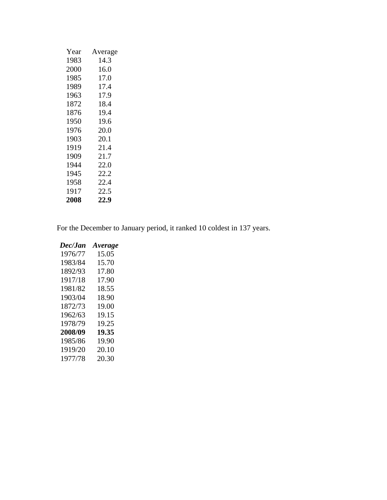| Year | Average |
|------|---------|
| 1983 | 14.3    |
| 2000 | 16.0    |
| 1985 | 17.0    |
| 1989 | 17.4    |
| 1963 | 17.9    |
| 1872 | 18.4    |
| 1876 | 19.4    |
| 1950 | 19.6    |
| 1976 | 20.0    |
| 1903 | 20.1    |
| 1919 | 21.4    |
| 1909 | 21.7    |
| 1944 | 22.0    |
| 1945 | 22.2    |
| 1958 | 22.4    |
| 1917 | 22.5    |
| 2008 | 22.9    |
|      |         |

For the December to January period, it ranked 10 coldest in 137 years.

| Dec/Jan | Average |
|---------|---------|
| 1976/77 | 15.05   |
| 1983/84 | 15.70   |
| 1892/93 | 17.80   |
| 1917/18 | 17.90   |
| 1981/82 | 18.55   |
| 1903/04 | 18.90   |
| 1872/73 | 19.00   |
| 1962/63 | 19.15   |
| 1978/79 | 19.25   |
| 2008/09 | 19.35   |
| 1985/86 | 19.90   |
| 1919/20 | 20.10   |
| 1977/78 | 20.30   |